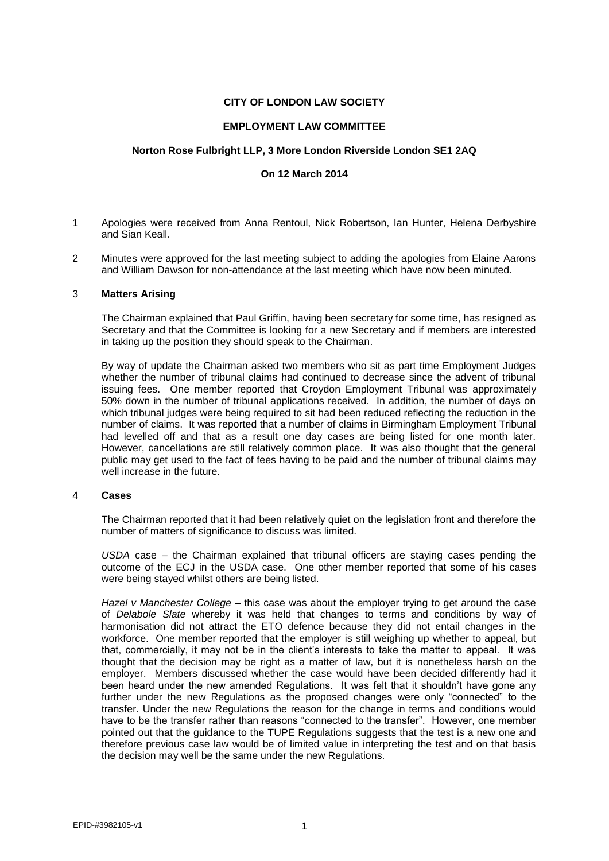# **CITY OF LONDON LAW SOCIETY**

## **EMPLOYMENT LAW COMMITTEE**

## **Norton Rose Fulbright LLP, 3 More London Riverside London SE1 2AQ**

# **On 12 March 2014**

- 1 Apologies were received from Anna Rentoul, Nick Robertson, Ian Hunter, Helena Derbyshire and Sian Keall.
- 2 Minutes were approved for the last meeting subject to adding the apologies from Elaine Aarons and William Dawson for non-attendance at the last meeting which have now been minuted.

#### 3 **Matters Arising**

The Chairman explained that Paul Griffin, having been secretary for some time, has resigned as Secretary and that the Committee is looking for a new Secretary and if members are interested in taking up the position they should speak to the Chairman.

By way of update the Chairman asked two members who sit as part time Employment Judges whether the number of tribunal claims had continued to decrease since the advent of tribunal issuing fees. One member reported that Croydon Employment Tribunal was approximately 50% down in the number of tribunal applications received. In addition, the number of days on which tribunal judges were being required to sit had been reduced reflecting the reduction in the number of claims. It was reported that a number of claims in Birmingham Employment Tribunal had levelled off and that as a result one day cases are being listed for one month later. However, cancellations are still relatively common place. It was also thought that the general public may get used to the fact of fees having to be paid and the number of tribunal claims may well increase in the future.

#### 4 **Cases**

The Chairman reported that it had been relatively quiet on the legislation front and therefore the number of matters of significance to discuss was limited.

*USDA* case – the Chairman explained that tribunal officers are staying cases pending the outcome of the ECJ in the USDA case. One other member reported that some of his cases were being stayed whilst others are being listed.

*Hazel v Manchester College* – this case was about the employer trying to get around the case of *Delabole Slate* whereby it was held that changes to terms and conditions by way of harmonisation did not attract the ETO defence because they did not entail changes in the workforce. One member reported that the employer is still weighing up whether to appeal, but that, commercially, it may not be in the client's interests to take the matter to appeal. It was thought that the decision may be right as a matter of law, but it is nonetheless harsh on the employer. Members discussed whether the case would have been decided differently had it been heard under the new amended Regulations. It was felt that it shouldn't have gone any further under the new Regulations as the proposed changes were only "connected" to the transfer. Under the new Regulations the reason for the change in terms and conditions would have to be the transfer rather than reasons "connected to the transfer". However, one member pointed out that the guidance to the TUPE Regulations suggests that the test is a new one and therefore previous case law would be of limited value in interpreting the test and on that basis the decision may well be the same under the new Regulations.